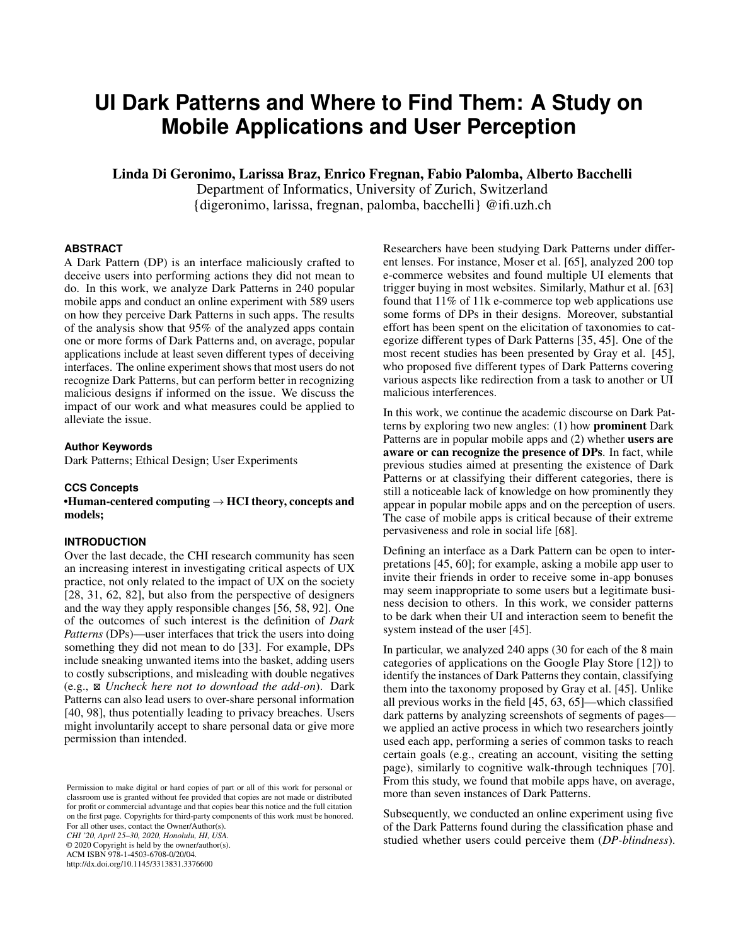# **UI Dark Patterns and Where to Find Them: A Study on Mobile Applications and User Perception**

Linda Di Geronimo, Larissa Braz, Enrico Fregnan, Fabio Palomba, Alberto Bacchelli

Department of Informatics, University of Zurich, Switzerland {digeronimo, larissa, fregnan, palomba, bacchelli} @ifi.uzh.ch

## **ABSTRACT**

A Dark Pattern (DP) is an interface maliciously crafted to deceive users into performing actions they did not mean to do. In this work, we analyze Dark Patterns in 240 popular mobile apps and conduct an online experiment with 589 users on how they perceive Dark Patterns in such apps. The results of the analysis show that 95% of the analyzed apps contain one or more forms of Dark Patterns and, on average, popular applications include at least seven different types of deceiving interfaces. The online experiment shows that most users do not recognize Dark Patterns, but can perform better in recognizing malicious designs if informed on the issue. We discuss the impact of our work and what measures could be applied to alleviate the issue.

#### **Author Keywords**

Dark Patterns; Ethical Design; User Experiments

#### **CCS Concepts**

•Human-centered computing  $\rightarrow$  HCI theory, concepts and models;

## **INTRODUCTION**

Over the last decade, the CHI research community has seen an increasing interest in investigating critical aspects of UX practice, not only related to the impact of UX on the society [\[28,](#page-10-0) [31,](#page-10-1) [62,](#page-11-0) [82\]](#page-12-0), but also from the perspective of designers and the way they apply responsible changes [\[56,](#page-11-1) [58,](#page-11-2) [92\]](#page-12-1). One of the outcomes of such interest is the definition of *Dark Patterns* (DPs)—user interfaces that trick the users into doing something they did not mean to do [\[33\]](#page-10-2). For example, DPs include sneaking unwanted items into the basket, adding users to costly subscriptions, and misleading with double negatives (e.g., - *Uncheck here not to download the add-on*). Dark Patterns can also lead users to over-share personal information [\[40,](#page-11-3) [98\]](#page-13-0), thus potentially leading to privacy breaches. Users might involuntarily accept to share personal data or give more permission than intended.

Permission to make digital or hard copies of part or all of this work for personal or classroom use is granted without fee provided that copies are not made or distributed for profit or commercial advantage and that copies bear this notice and the full citation on the first page. Copyrights for third-party components of this work must be honored. For all other uses, contact the Owner/Author(s). *CHI '20, April 25–30, 2020, Honolulu, HI, USA.* © 2020 Copyright is held by the owner/author(s). ACM ISBN 978-1-4503-6708-0/20/04. http://dx.doi.org/10.1145/3313831.3376600

Researchers have been studying Dark Patterns under different lenses. For instance, Moser et al. [\[65\]](#page-11-4), analyzed 200 top e-commerce websites and found multiple UI elements that trigger buying in most websites. Similarly, Mathur et al. [\[63\]](#page-11-5) found that 11% of 11k e-commerce top web applications use some forms of DPs in their designs. Moreover, substantial effort has been spent on the elicitation of taxonomies to categorize different types of Dark Patterns [\[35,](#page-10-3) [45\]](#page-11-6). One of the most recent studies has been presented by Gray et al. [\[45\]](#page-11-6), who proposed five different types of Dark Patterns covering various aspects like redirection from a task to another or UI malicious interferences.

In this work, we continue the academic discourse on Dark Patterns by exploring two new angles: (1) how prominent Dark Patterns are in popular mobile apps and (2) whether users are aware or can recognize the presence of DPs. In fact, while previous studies aimed at presenting the existence of Dark Patterns or at classifying their different categories, there is still a noticeable lack of knowledge on how prominently they appear in popular mobile apps and on the perception of users. The case of mobile apps is critical because of their extreme pervasiveness and role in social life [\[68\]](#page-12-2).

Defining an interface as a Dark Pattern can be open to interpretations [\[45,](#page-11-6) [60\]](#page-11-7); for example, asking a mobile app user to invite their friends in order to receive some in-app bonuses may seem inappropriate to some users but a legitimate business decision to others. In this work, we consider patterns to be dark when their UI and interaction seem to benefit the system instead of the user [\[45\]](#page-11-6).

In particular, we analyzed 240 apps (30 for each of the 8 main categories of applications on the Google Play Store [\[12\]](#page-10-4)) to identify the instances of Dark Patterns they contain, classifying them into the taxonomy proposed by Gray et al. [\[45\]](#page-11-6). Unlike all previous works in the field [\[45,](#page-11-6) [63,](#page-11-5) [65\]](#page-11-4)—which classified dark patterns by analyzing screenshots of segments of pages we applied an active process in which two researchers jointly used each app, performing a series of common tasks to reach certain goals (e.g., creating an account, visiting the setting page), similarly to cognitive walk-through techniques [\[70\]](#page-12-3). From this study, we found that mobile apps have, on average, more than seven instances of Dark Patterns.

Subsequently, we conducted an online experiment using five of the Dark Patterns found during the classification phase and studied whether users could perceive them (*DP-blindness*).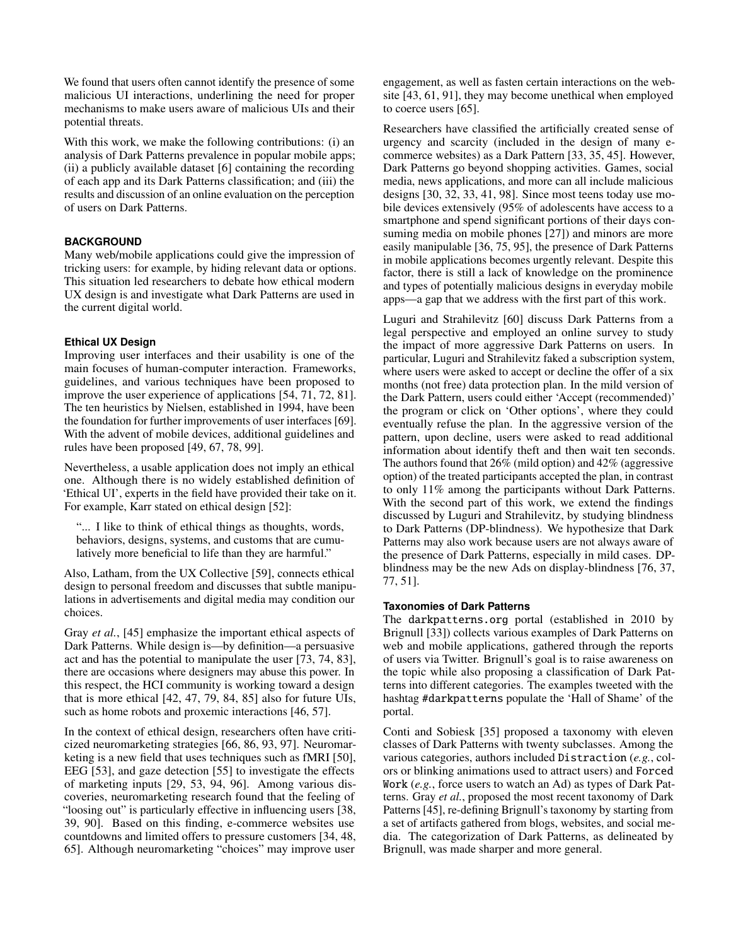We found that users often cannot identify the presence of some malicious UI interactions, underlining the need for proper mechanisms to make users aware of malicious UIs and their potential threats.

With this work, we make the following contributions: (i) an analysis of Dark Patterns prevalence in popular mobile apps; (ii) a publicly available dataset [\[6\]](#page-10-5) containing the recording of each app and its Dark Patterns classification; and (iii) the results and discussion of an online evaluation on the perception of users on Dark Patterns.

# **BACKGROUND**

Many web/mobile applications could give the impression of tricking users: for example, by hiding relevant data or options. This situation led researchers to debate how ethical modern UX design is and investigate what Dark Patterns are used in the current digital world.

# **Ethical UX Design**

Improving user interfaces and their usability is one of the main focuses of human-computer interaction. Frameworks, guidelines, and various techniques have been proposed to improve the user experience of applications [\[54,](#page-11-8) [71,](#page-12-4) [72,](#page-12-5) [81\]](#page-12-6). The ten heuristics by Nielsen, established in 1994, have been the foundation for further improvements of user interfaces [\[69\]](#page-12-7). With the advent of mobile devices, additional guidelines and rules have been proposed [\[49,](#page-11-9) [67,](#page-12-8) [78,](#page-12-9) [99\]](#page-13-1).

Nevertheless, a usable application does not imply an ethical one. Although there is no widely established definition of 'Ethical UI', experts in the field have provided their take on it. For example, Karr stated on ethical design [\[52\]](#page-11-10):

"... I like to think of ethical things as thoughts, words, behaviors, designs, systems, and customs that are cumulatively more beneficial to life than they are harmful."

Also, Latham, from the UX Collective [\[59\]](#page-11-11), connects ethical design to personal freedom and discusses that subtle manipulations in advertisements and digital media may condition our choices.

Gray *et al.*, [\[45\]](#page-11-6) emphasize the important ethical aspects of Dark Patterns. While design is—by definition—a persuasive act and has the potential to manipulate the user [\[73,](#page-12-10) [74,](#page-12-11) [83\]](#page-12-12), there are occasions where designers may abuse this power. In this respect, the HCI community is working toward a design that is more ethical [\[42,](#page-11-12) [47,](#page-11-13) [79,](#page-12-13) [84,](#page-12-14) [85\]](#page-12-15) also for future UIs, such as home robots and proxemic interactions [\[46,](#page-11-14) [57\]](#page-11-15).

In the context of ethical design, researchers often have criticized neuromarketing strategies [\[66,](#page-11-16) [86,](#page-12-16) [93,](#page-12-17) [97\]](#page-13-2). Neuromarketing is a new field that uses techniques such as fMRI [\[50\]](#page-11-17), EEG [\[53\]](#page-11-18), and gaze detection [\[55\]](#page-11-19) to investigate the effects of marketing inputs [\[29,](#page-10-6) [53,](#page-11-18) [94,](#page-12-18) [96\]](#page-13-3). Among various discoveries, neuromarketing research found that the feeling of "loosing out" is particularly effective in influencing users [\[38,](#page-10-7) [39,](#page-10-8) [90\]](#page-12-19). Based on this finding, e-commerce websites use countdowns and limited offers to pressure customers [\[34,](#page-10-9) [48,](#page-11-20) [65\]](#page-11-4). Although neuromarketing "choices" may improve user

engagement, as well as fasten certain interactions on the website [\[43,](#page-11-21) [61,](#page-11-22) [91\]](#page-12-20), they may become unethical when employed to coerce users [\[65\]](#page-11-4).

Researchers have classified the artificially created sense of urgency and scarcity (included in the design of many ecommerce websites) as a Dark Pattern [\[33,](#page-10-2) [35,](#page-10-3) [45\]](#page-11-6). However, Dark Patterns go beyond shopping activities. Games, social media, news applications, and more can all include malicious designs [\[30,](#page-10-10) [32,](#page-10-11) [33,](#page-10-2) [41,](#page-11-23) [98\]](#page-13-0). Since most teens today use mobile devices extensively (95% of adolescents have access to a smartphone and spend significant portions of their days consuming media on mobile phones [\[27\]](#page-10-12)) and minors are more easily manipulable [\[36,](#page-10-13) [75,](#page-12-21) [95\]](#page-13-4), the presence of Dark Patterns in mobile applications becomes urgently relevant. Despite this factor, there is still a lack of knowledge on the prominence and types of potentially malicious designs in everyday mobile apps—a gap that we address with the first part of this work.

Luguri and Strahilevitz [\[60\]](#page-11-7) discuss Dark Patterns from a legal perspective and employed an online survey to study the impact of more aggressive Dark Patterns on users. In particular, Luguri and Strahilevitz faked a subscription system, where users were asked to accept or decline the offer of a six months (not free) data protection plan. In the mild version of the Dark Pattern, users could either 'Accept (recommended)' the program or click on 'Other options', where they could eventually refuse the plan. In the aggressive version of the pattern, upon decline, users were asked to read additional information about identify theft and then wait ten seconds. The authors found that 26% (mild option) and 42% (aggressive option) of the treated participants accepted the plan, in contrast to only 11% among the participants without Dark Patterns. With the second part of this work, we extend the findings discussed by Luguri and Strahilevitz, by studying blindness to Dark Patterns (DP-blindness). We hypothesize that Dark Patterns may also work because users are not always aware of the presence of Dark Patterns, especially in mild cases. DPblindness may be the new Ads on display-blindness [\[76,](#page-12-22) [37,](#page-10-14) [77,](#page-12-23) [51\]](#page-11-24).

# **Taxonomies of Dark Patterns**

The darkpatterns.org portal (established in 2010 by Brignull [\[33\]](#page-10-2)) collects various examples of Dark Patterns on web and mobile applications, gathered through the reports of users via Twitter. Brignull's goal is to raise awareness on the topic while also proposing a classification of Dark Patterns into different categories. The examples tweeted with the hashtag #darkpatterns populate the 'Hall of Shame' of the portal.

Conti and Sobiesk [\[35\]](#page-10-3) proposed a taxonomy with eleven classes of Dark Patterns with twenty subclasses. Among the various categories, authors included Distraction (*e.g.*, colors or blinking animations used to attract users) and Forced Work (*e.g.*, force users to watch an Ad) as types of Dark Patterns. Gray *et al.*, proposed the most recent taxonomy of Dark Patterns [\[45\]](#page-11-6), re-defining Brignull's taxonomy by starting from a set of artifacts gathered from blogs, websites, and social media. The categorization of Dark Patterns, as delineated by Brignull, was made sharper and more general.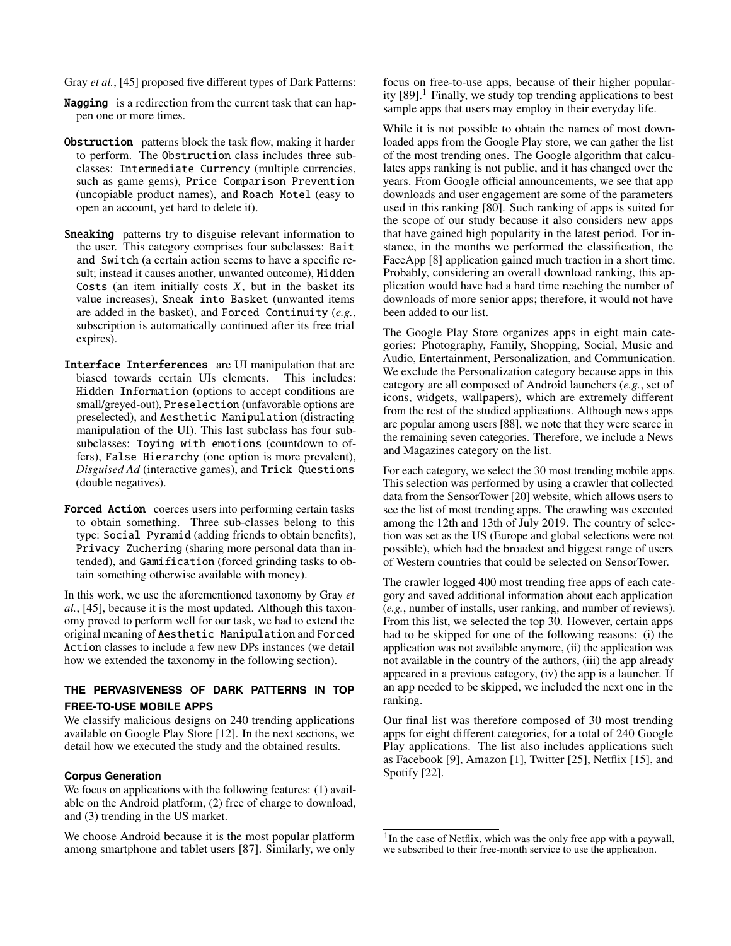Gray *et al.*, [\[45\]](#page-11-6) proposed five different types of Dark Patterns:

- **Nagging** is a redirection from the current task that can happen one or more times.
- **Obstruction** patterns block the task flow, making it harder to perform. The Obstruction class includes three subclasses: Intermediate Currency (multiple currencies, such as game gems), Price Comparison Prevention (uncopiable product names), and Roach Motel (easy to open an account, yet hard to delete it).
- **Sneaking** patterns try to disguise relevant information to the user. This category comprises four subclasses: Bait and Switch (a certain action seems to have a specific result; instead it causes another, unwanted outcome), Hidden Costs (an item initially costs *X*, but in the basket its value increases), Sneak into Basket (unwanted items are added in the basket), and Forced Continuity (*e.g.*, subscription is automatically continued after its free trial expires).
- Interface Interferences are UI manipulation that are biased towards certain UIs elements. This includes: Hidden Information (options to accept conditions are small/greyed-out), Preselection (unfavorable options are preselected), and Aesthetic Manipulation (distracting manipulation of the UI). This last subclass has four subsubclasses: Toying with emotions (countdown to offers), False Hierarchy (one option is more prevalent), *Disguised Ad* (interactive games), and Trick Questions (double negatives).
- Forced Action coerces users into performing certain tasks to obtain something. Three sub-classes belong to this type: Social Pyramid (adding friends to obtain benefits), Privacy Zuchering (sharing more personal data than intended), and Gamification (forced grinding tasks to obtain something otherwise available with money).

In this work, we use the aforementioned taxonomy by Gray *et al.*, [\[45\]](#page-11-6), because it is the most updated. Although this taxonomy proved to perform well for our task, we had to extend the original meaning of Aesthetic Manipulation and Forced Action classes to include a few new DPs instances (we detail how we extended the taxonomy in the following section).

# **THE PERVASIVENESS OF DARK PATTERNS IN TOP FREE-TO-USE MOBILE APPS**

We classify malicious designs on 240 trending applications available on Google Play Store [\[12\]](#page-10-4). In the next sections, we detail how we executed the study and the obtained results.

## **Corpus Generation**

We focus on applications with the following features: (1) available on the Android platform, (2) free of charge to download, and (3) trending in the US market.

We choose Android because it is the most popular platform among smartphone and tablet users [\[87\]](#page-12-24). Similarly, we only focus on free-to-use apps, because of their higher popularity  $[89]$ <sup>[1](#page-2-0)</sup>. Finally, we study top trending applications to best sample apps that users may employ in their everyday life.

While it is not possible to obtain the names of most downloaded apps from the Google Play store, we can gather the list of the most trending ones. The Google algorithm that calculates apps ranking is not public, and it has changed over the years. From Google official announcements, we see that app downloads and user engagement are some of the parameters used in this ranking [\[80\]](#page-12-26). Such ranking of apps is suited for the scope of our study because it also considers new apps that have gained high popularity in the latest period. For instance, in the months we performed the classification, the FaceApp [\[8\]](#page-10-15) application gained much traction in a short time. Probably, considering an overall download ranking, this application would have had a hard time reaching the number of downloads of more senior apps; therefore, it would not have been added to our list.

The Google Play Store organizes apps in eight main categories: Photography, Family, Shopping, Social, Music and Audio, Entertainment, Personalization, and Communication. We exclude the Personalization category because apps in this category are all composed of Android launchers (*e.g.*, set of icons, widgets, wallpapers), which are extremely different from the rest of the studied applications. Although news apps are popular among users [\[88\]](#page-12-27), we note that they were scarce in the remaining seven categories. Therefore, we include a News and Magazines category on the list.

For each category, we select the 30 most trending mobile apps. This selection was performed by using a crawler that collected data from the SensorTower [\[20\]](#page-10-16) website, which allows users to see the list of most trending apps. The crawling was executed among the 12th and 13th of July 2019. The country of selection was set as the US (Europe and global selections were not possible), which had the broadest and biggest range of users of Western countries that could be selected on SensorTower.

The crawler logged 400 most trending free apps of each category and saved additional information about each application (*e.g.*, number of installs, user ranking, and number of reviews). From this list, we selected the top 30. However, certain apps had to be skipped for one of the following reasons: (i) the application was not available anymore, (ii) the application was not available in the country of the authors, (iii) the app already appeared in a previous category, (iv) the app is a launcher. If an app needed to be skipped, we included the next one in the ranking.

Our final list was therefore composed of 30 most trending apps for eight different categories, for a total of 240 Google Play applications. The list also includes applications such as Facebook [\[9\]](#page-10-17), Amazon [\[1\]](#page-10-18), Twitter [\[25\]](#page-10-19), Netflix [\[15\]](#page-10-20), and Spotify [\[22\]](#page-10-21).

<span id="page-2-0"></span><sup>&</sup>lt;sup>1</sup>In the case of Netflix, which was the only free app with a paywall, we subscribed to their free-month service to use the application.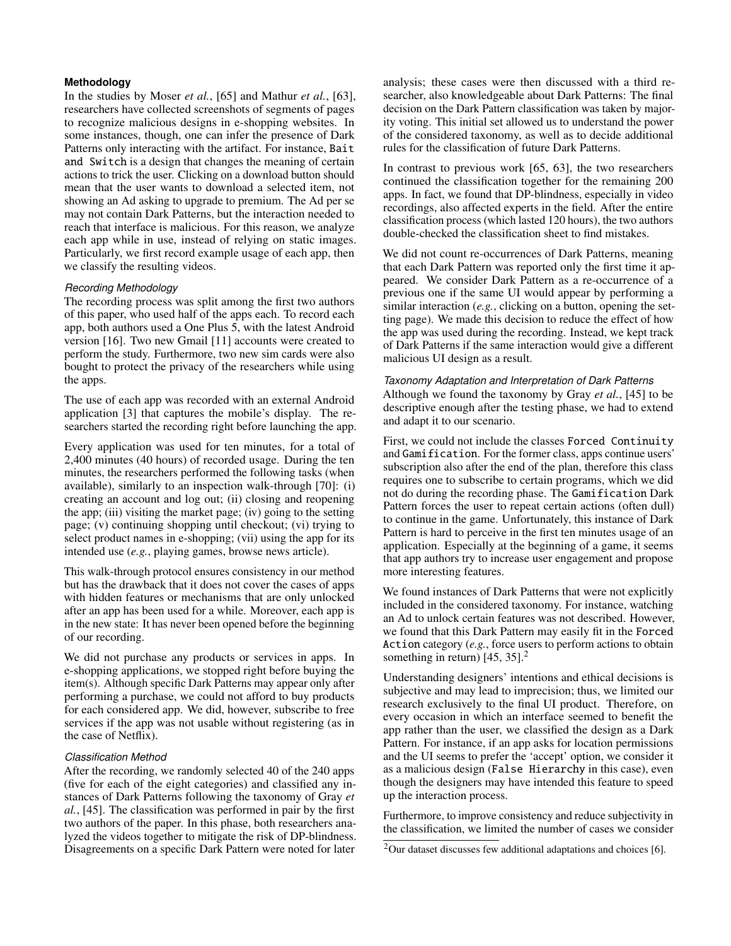## **Methodology**

In the studies by Moser *et al.*, [\[65\]](#page-11-4) and Mathur *et al.*, [\[63\]](#page-11-5), researchers have collected screenshots of segments of pages to recognize malicious designs in e-shopping websites. In some instances, though, one can infer the presence of Dark Patterns only interacting with the artifact. For instance, Bait and Switch is a design that changes the meaning of certain actions to trick the user. Clicking on a download button should mean that the user wants to download a selected item, not showing an Ad asking to upgrade to premium. The Ad per se may not contain Dark Patterns, but the interaction needed to reach that interface is malicious. For this reason, we analyze each app while in use, instead of relying on static images. Particularly, we first record example usage of each app, then we classify the resulting videos.

## *Recording Methodology*

The recording process was split among the first two authors of this paper, who used half of the apps each. To record each app, both authors used a One Plus 5, with the latest Android version [\[16\]](#page-10-22). Two new Gmail [\[11\]](#page-10-23) accounts were created to perform the study. Furthermore, two new sim cards were also bought to protect the privacy of the researchers while using the apps.

The use of each app was recorded with an external Android application [\[3\]](#page-10-24) that captures the mobile's display. The researchers started the recording right before launching the app.

Every application was used for ten minutes, for a total of 2,400 minutes (40 hours) of recorded usage. During the ten minutes, the researchers performed the following tasks (when available), similarly to an inspection walk-through [\[70\]](#page-12-3): (i) creating an account and log out; (ii) closing and reopening the app; (iii) visiting the market page; (iv) going to the setting page; (v) continuing shopping until checkout; (vi) trying to select product names in e-shopping; (vii) using the app for its intended use (*e.g.*, playing games, browse news article).

This walk-through protocol ensures consistency in our method but has the drawback that it does not cover the cases of apps with hidden features or mechanisms that are only unlocked after an app has been used for a while. Moreover, each app is in the new state: It has never been opened before the beginning of our recording.

We did not purchase any products or services in apps. In e-shopping applications, we stopped right before buying the item(s). Although specific Dark Patterns may appear only after performing a purchase, we could not afford to buy products for each considered app. We did, however, subscribe to free services if the app was not usable without registering (as in the case of Netflix).

#### *Classification Method*

After the recording, we randomly selected 40 of the 240 apps (five for each of the eight categories) and classified any instances of Dark Patterns following the taxonomy of Gray *et al.*, [\[45\]](#page-11-6). The classification was performed in pair by the first two authors of the paper. In this phase, both researchers analyzed the videos together to mitigate the risk of DP-blindness. Disagreements on a specific Dark Pattern were noted for later

analysis; these cases were then discussed with a third researcher, also knowledgeable about Dark Patterns: The final decision on the Dark Pattern classification was taken by majority voting. This initial set allowed us to understand the power of the considered taxonomy, as well as to decide additional rules for the classification of future Dark Patterns.

In contrast to previous work [\[65,](#page-11-4) [63\]](#page-11-5), the two researchers continued the classification together for the remaining 200 apps. In fact, we found that DP-blindness, especially in video recordings, also affected experts in the field. After the entire classification process (which lasted 120 hours), the two authors double-checked the classification sheet to find mistakes.

We did not count re-occurrences of Dark Patterns, meaning that each Dark Pattern was reported only the first time it appeared. We consider Dark Pattern as a re-occurrence of a previous one if the same UI would appear by performing a similar interaction (*e.g.*, clicking on a button, opening the setting page). We made this decision to reduce the effect of how the app was used during the recording. Instead, we kept track of Dark Patterns if the same interaction would give a different malicious UI design as a result.

# *Taxonomy Adaptation and Interpretation of Dark Patterns* Although we found the taxonomy by Gray *et al.*, [\[45\]](#page-11-6) to be descriptive enough after the testing phase, we had to extend and adapt it to our scenario.

First, we could not include the classes Forced Continuity and Gamification. For the former class, apps continue users' subscription also after the end of the plan, therefore this class requires one to subscribe to certain programs, which we did not do during the recording phase. The Gamification Dark Pattern forces the user to repeat certain actions (often dull) to continue in the game. Unfortunately, this instance of Dark Pattern is hard to perceive in the first ten minutes usage of an application. Especially at the beginning of a game, it seems that app authors try to increase user engagement and propose more interesting features.

We found instances of Dark Patterns that were not explicitly included in the considered taxonomy. For instance, watching an Ad to unlock certain features was not described. However, we found that this Dark Pattern may easily fit in the Forced Action category (*e.g.*, force users to perform actions to obtain something in return) [\[45,](#page-11-6) [35\]](#page-10-3).<sup>[2](#page-3-0)</sup>

Understanding designers' intentions and ethical decisions is subjective and may lead to imprecision; thus, we limited our research exclusively to the final UI product. Therefore, on every occasion in which an interface seemed to benefit the app rather than the user, we classified the design as a Dark Pattern. For instance, if an app asks for location permissions and the UI seems to prefer the 'accept' option, we consider it as a malicious design (False Hierarchy in this case), even though the designers may have intended this feature to speed up the interaction process.

Furthermore, to improve consistency and reduce subjectivity in the classification, we limited the number of cases we consider

<span id="page-3-0"></span> $2$ Our dataset discusses few additional adaptations and choices [\[6\]](#page-10-5).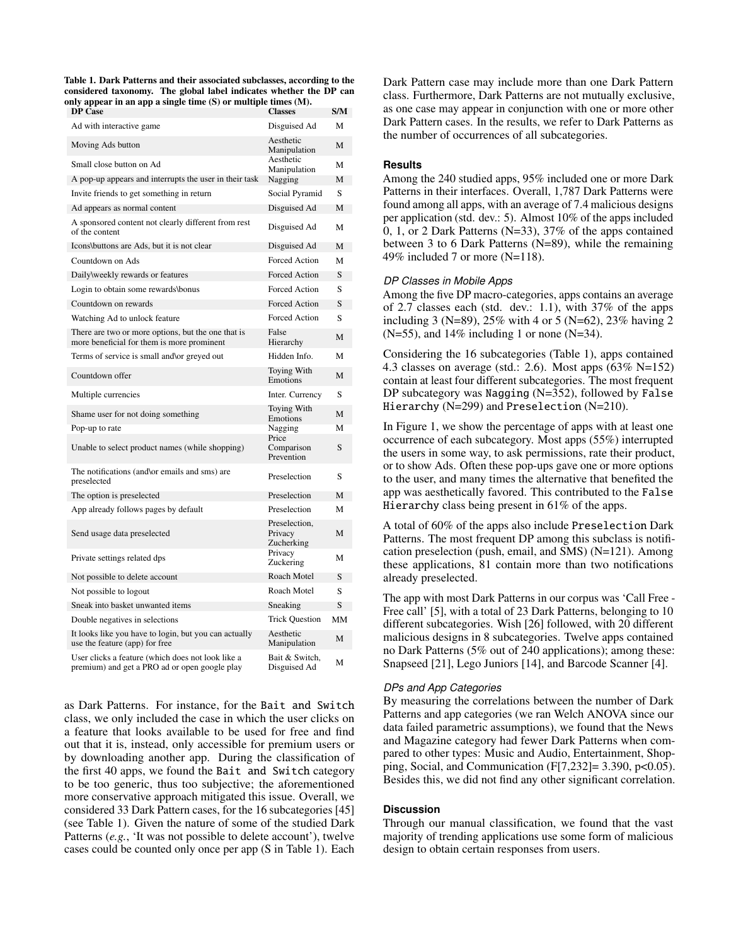<span id="page-4-0"></span>Table 1. Dark Patterns and their associated subclasses, according to the considered taxonomy. The global label indicates whether the DP can only appear in an app a single time (S) or multiple times (M).

| <b>DP</b> Case                                                                                     | <b>Classes</b>                         | S/M |
|----------------------------------------------------------------------------------------------------|----------------------------------------|-----|
| Ad with interactive game                                                                           | Disguised Ad                           | M   |
| Moving Ads button                                                                                  | Aesthetic<br>Manipulation              | М   |
| Small close button on Ad                                                                           | Aesthetic<br>Manipulation              | М   |
| A pop-up appears and interrupts the user in their task                                             | Nagging                                | М   |
| Invite friends to get something in return                                                          | Social Pyramid                         | S   |
| Ad appears as normal content                                                                       | Disguised Ad                           | M   |
| A sponsored content not clearly different from rest<br>of the content                              | Disguised Ad                           | М   |
| Icons\buttons are Ads, but it is not clear                                                         | Disguised Ad                           | M   |
| Countdown on Ads                                                                                   | Forced Action                          | М   |
| Daily\weekly rewards or features                                                                   | Forced Action                          | S   |
| Login to obtain some rewards\bonus                                                                 | Forced Action                          | S   |
| Countdown on rewards                                                                               | <b>Forced Action</b>                   | S   |
| Watching Ad to unlock feature                                                                      | Forced Action                          | S   |
| There are two or more options, but the one that is<br>more beneficial for them is more prominent   | False<br>Hierarchy                     | М   |
| Terms of service is small and \or greyed out                                                       | Hidden Info.                           | М   |
| Countdown offer                                                                                    | Toying With<br>Emotions                | М   |
| Multiple currencies                                                                                | Inter. Currency                        | S   |
| Shame user for not doing something                                                                 | Toying With<br>Emotions                | М   |
| Pop-up to rate                                                                                     | Nagging<br>Price                       | М   |
| Unable to select product names (while shopping)                                                    | Comparison<br>Prevention               | S   |
| The notifications (and/or emails and sms) are<br>preselected                                       | Preselection                           | S   |
| The option is preselected                                                                          | Preselection                           | М   |
| App already follows pages by default                                                               | Preselection                           | М   |
| Send usage data preselected                                                                        | Preselection,<br>Privacy<br>Zucherking | М   |
| Private settings related dps                                                                       | Privacy<br>Zuckering                   | М   |
| Not possible to delete account                                                                     | Roach Motel                            | S   |
| Not possible to logout                                                                             | Roach Motel                            | S   |
| Sneak into basket unwanted items                                                                   | Sneaking                               | S   |
| Double negatives in selections                                                                     | <b>Trick Question</b>                  | MM  |
| It looks like you have to login, but you can actually<br>use the feature (app) for free            | Aesthetic<br>Manipulation              | М   |
| User clicks a feature (which does not look like a<br>premium) and get a PRO ad or open google play | Bait & Switch,<br>Disguised Ad         | М   |

as Dark Patterns. For instance, for the Bait and Switch class, we only included the case in which the user clicks on a feature that looks available to be used for free and find out that it is, instead, only accessible for premium users or by downloading another app. During the classification of the first 40 apps, we found the Bait and Switch category to be too generic, thus too subjective; the aforementioned more conservative approach mitigated this issue. Overall, we considered 33 Dark Pattern cases, for the 16 subcategories [\[45\]](#page-11-6) (see Table [1\)](#page-4-0). Given the nature of some of the studied Dark Patterns (*e.g.*, 'It was not possible to delete account'), twelve cases could be counted only once per app (S in Table [1\)](#page-4-0). Each Dark Pattern case may include more than one Dark Pattern class. Furthermore, Dark Patterns are not mutually exclusive, as one case may appear in conjunction with one or more other Dark Pattern cases. In the results, we refer to Dark Patterns as the number of occurrences of all subcategories.

#### **Results**

Among the 240 studied apps, 95% included one or more Dark Patterns in their interfaces. Overall, 1,787 Dark Patterns were found among all apps, with an average of 7.4 malicious designs per application (std. dev.: 5). Almost 10% of the apps included 0, 1, or 2 Dark Patterns (N=33), 37% of the apps contained between 3 to 6 Dark Patterns (N=89), while the remaining 49% included 7 or more (N=118).

## *DP Classes in Mobile Apps*

Among the five DP macro-categories, apps contains an average of 2.7 classes each (std. dev.: 1.1), with 37% of the apps including 3 (N=89), 25% with 4 or 5 (N=62), 23% having 2  $(N=55)$ , and 14% including 1 or none  $(N=34)$ .

Considering the 16 subcategories (Table [1\)](#page-4-0), apps contained 4.3 classes on average (std.: 2.6). Most apps (63% N=152) contain at least four different subcategories. The most frequent DP subcategory was Nagging (N=352), followed by False Hierarchy (N=299) and Preselection (N=210).

In Figure [1,](#page-5-0) we show the percentage of apps with at least one occurrence of each subcategory. Most apps (55%) interrupted the users in some way, to ask permissions, rate their product, or to show Ads. Often these pop-ups gave one or more options to the user, and many times the alternative that benefited the app was aesthetically favored. This contributed to the False Hierarchy class being present in 61% of the apps.

A total of 60% of the apps also include Preselection Dark Patterns. The most frequent DP among this subclass is notification preselection (push, email, and SMS) (N=121). Among these applications, 81 contain more than two notifications already preselected.

The app with most Dark Patterns in our corpus was 'Call Free - Free call' [\[5\]](#page-10-25), with a total of 23 Dark Patterns, belonging to 10 different subcategories. Wish [\[26\]](#page-10-26) followed, with 20 different malicious designs in 8 subcategories. Twelve apps contained no Dark Patterns (5% out of 240 applications); among these: Snapseed [\[21\]](#page-10-27), Lego Juniors [\[14\]](#page-10-28), and Barcode Scanner [\[4\]](#page-10-29).

### *DPs and App Categories*

By measuring the correlations between the number of Dark Patterns and app categories (we ran Welch ANOVA since our data failed parametric assumptions), we found that the News and Magazine category had fewer Dark Patterns when compared to other types: Music and Audio, Entertainment, Shopping, Social, and Communication  $(F[7,232]=3.390, p<0.05)$ . Besides this, we did not find any other significant correlation.

#### **Discussion**

Through our manual classification, we found that the vast majority of trending applications use some form of malicious design to obtain certain responses from users.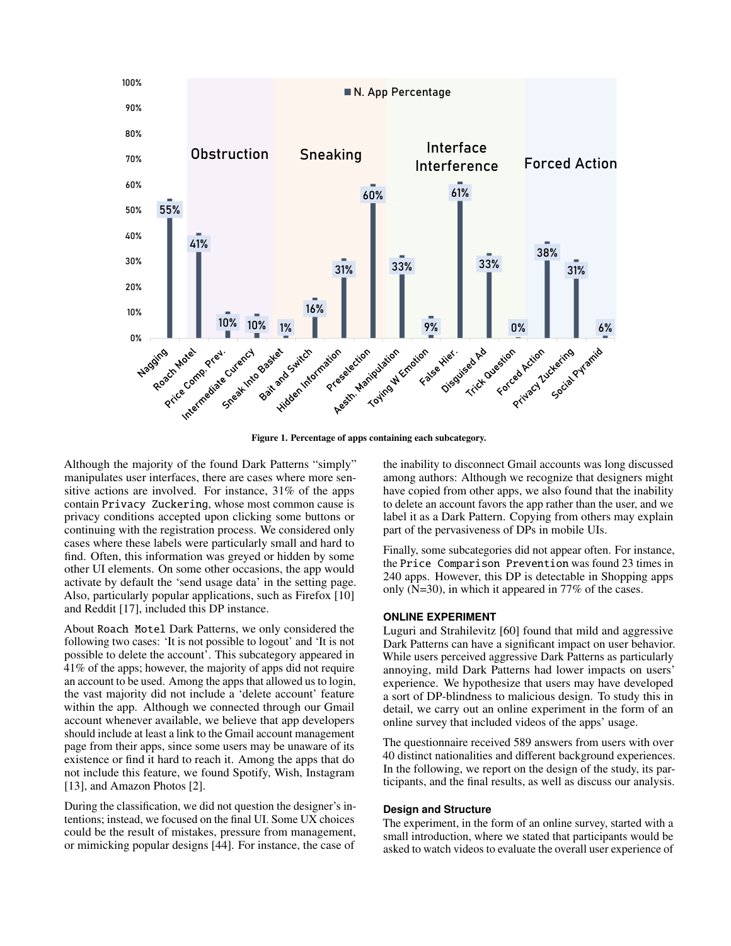

<span id="page-5-0"></span>Figure 1. Percentage of apps containing each subcategory.

Although the majority of the found Dark Patterns "simply" manipulates user interfaces, there are cases where more sensitive actions are involved. For instance, 31% of the apps contain Privacy Zuckering, whose most common cause is privacy conditions accepted upon clicking some buttons or continuing with the registration process. We considered only cases where these labels were particularly small and hard to find. Often, this information was greyed or hidden by some other UI elements. On some other occasions, the app would activate by default the 'send usage data' in the setting page. Also, particularly popular applications, such as Firefox [\[10\]](#page-10-30) and Reddit [\[17\]](#page-10-31), included this DP instance.

About Roach Motel Dark Patterns, we only considered the following two cases: 'It is not possible to logout' and 'It is not possible to delete the account'. This subcategory appeared in 41% of the apps; however, the majority of apps did not require an account to be used. Among the apps that allowed us to login, the vast majority did not include a 'delete account' feature within the app. Although we connected through our Gmail account whenever available, we believe that app developers should include at least a link to the Gmail account management page from their apps, since some users may be unaware of its existence or find it hard to reach it. Among the apps that do not include this feature, we found Spotify, Wish, Instagram [\[13\]](#page-10-32), and Amazon Photos [\[2\]](#page-10-33).

During the classification, we did not question the designer's intentions; instead, we focused on the final UI. Some UX choices could be the result of mistakes, pressure from management, or mimicking popular designs [\[44\]](#page-11-25). For instance, the case of the inability to disconnect Gmail accounts was long discussed among authors: Although we recognize that designers might have copied from other apps, we also found that the inability to delete an account favors the app rather than the user, and we label it as a Dark Pattern. Copying from others may explain part of the pervasiveness of DPs in mobile UIs.

Finally, some subcategories did not appear often. For instance, the Price Comparison Prevention was found 23 times in 240 apps. However, this DP is detectable in Shopping apps only (N=30), in which it appeared in 77% of the cases.

### **ONLINE EXPERIMENT**

Luguri and Strahilevitz [\[60\]](#page-11-7) found that mild and aggressive Dark Patterns can have a significant impact on user behavior. While users perceived aggressive Dark Patterns as particularly annoying, mild Dark Patterns had lower impacts on users' experience. We hypothesize that users may have developed a sort of DP-blindness to malicious design. To study this in detail, we carry out an online experiment in the form of an online survey that included videos of the apps' usage.

The questionnaire received 589 answers from users with over 40 distinct nationalities and different background experiences. In the following, we report on the design of the study, its participants, and the final results, as well as discuss our analysis.

#### **Design and Structure**

The experiment, in the form of an online survey, started with a small introduction, where we stated that participants would be asked to watch videos to evaluate the overall user experience of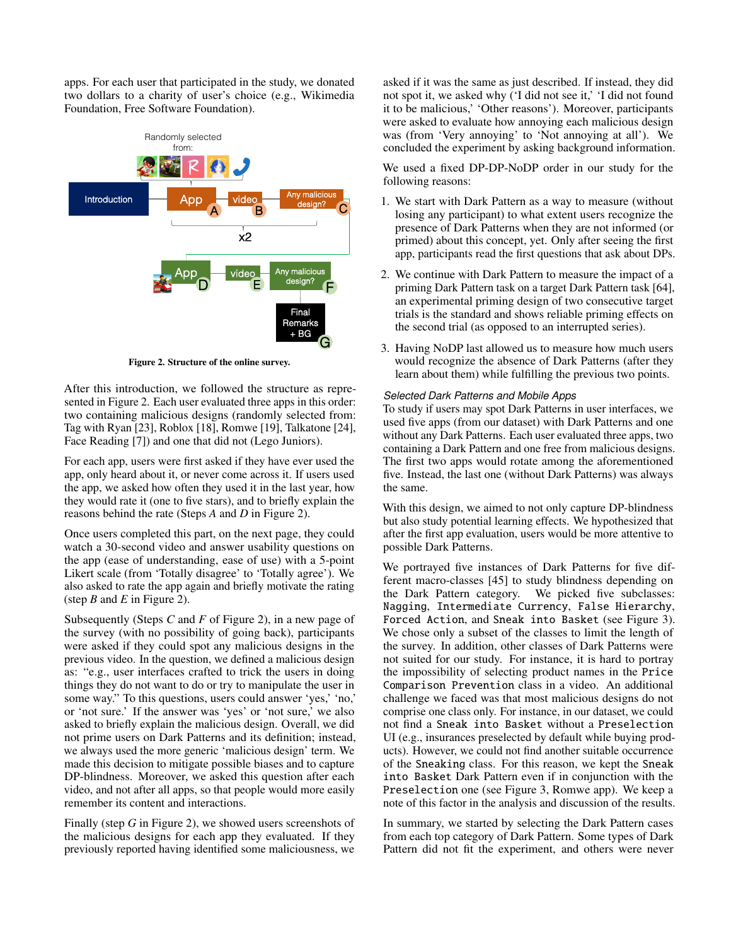apps. For each user that participated in the study, we donated two dollars to a charity of user's choice (e.g., Wikimedia Foundation, Free Software Foundation).



<span id="page-6-0"></span>Figure 2. Structure of the online survey.

After this introduction, we followed the structure as represented in Figure [2.](#page-6-0) Each user evaluated three apps in this order: two containing malicious designs (randomly selected from: Tag with Ryan [\[23\]](#page-10-34), Roblox [\[18\]](#page-10-35), Romwe [\[19\]](#page-10-36), Talkatone [\[24\]](#page-10-37), Face Reading [\[7\]](#page-10-38)) and one that did not (Lego Juniors).

For each app, users were first asked if they have ever used the app, only heard about it, or never come across it. If users used the app, we asked how often they used it in the last year, how they would rate it (one to five stars), and to briefly explain the reasons behind the rate (Steps *A* and *D* in Figure [2\)](#page-6-0).

Once users completed this part, on the next page, they could watch a 30-second video and answer usability questions on the app (ease of understanding, ease of use) with a 5-point Likert scale (from 'Totally disagree' to 'Totally agree'). We also asked to rate the app again and briefly motivate the rating (step *B* and *E* in Figure [2\)](#page-6-0).

Subsequently (Steps *C* and *F* of Figure [2\)](#page-6-0), in a new page of the survey (with no possibility of going back), participants were asked if they could spot any malicious designs in the previous video. In the question, we defined a malicious design as: "e.g., user interfaces crafted to trick the users in doing things they do not want to do or try to manipulate the user in some way." To this questions, users could answer 'yes,' 'no,' or 'not sure.' If the answer was 'yes' or 'not sure,' we also asked to briefly explain the malicious design. Overall, we did not prime users on Dark Patterns and its definition; instead, we always used the more generic 'malicious design' term. We made this decision to mitigate possible biases and to capture DP-blindness. Moreover, we asked this question after each video, and not after all apps, so that people would more easily remember its content and interactions.

Finally (step *G* in Figure [2\)](#page-6-0), we showed users screenshots of the malicious designs for each app they evaluated. If they previously reported having identified some maliciousness, we

asked if it was the same as just described. If instead, they did not spot it, we asked why ('I did not see it,' 'I did not found it to be malicious,' 'Other reasons'). Moreover, participants were asked to evaluate how annoying each malicious design was (from 'Very annoying' to 'Not annoying at all'). We concluded the experiment by asking background information.

We used a fixed DP-DP-NoDP order in our study for the following reasons:

- 1. We start with Dark Pattern as a way to measure (without losing any participant) to what extent users recognize the presence of Dark Patterns when they are not informed (or primed) about this concept, yet. Only after seeing the first app, participants read the first questions that ask about DPs.
- 2. We continue with Dark Pattern to measure the impact of a priming Dark Pattern task on a target Dark Pattern task [\[64\]](#page-11-26), an experimental priming design of two consecutive target trials is the standard and shows reliable priming effects on the second trial (as opposed to an interrupted series).
- 3. Having NoDP last allowed us to measure how much users would recognize the absence of Dark Patterns (after they learn about them) while fulfilling the previous two points.

### *Selected Dark Patterns and Mobile Apps*

To study if users may spot Dark Patterns in user interfaces, we used five apps (from our dataset) with Dark Patterns and one without any Dark Patterns. Each user evaluated three apps, two containing a Dark Pattern and one free from malicious designs. The first two apps would rotate among the aforementioned five. Instead, the last one (without Dark Patterns) was always the same.

With this design, we aimed to not only capture DP-blindness but also study potential learning effects. We hypothesized that after the first app evaluation, users would be more attentive to possible Dark Patterns.

We portrayed five instances of Dark Patterns for five different macro-classes [\[45\]](#page-11-6) to study blindness depending on the Dark Pattern category. We picked five subclasses: Nagging, Intermediate Currency, False Hierarchy, Forced Action, and Sneak into Basket (see Figure [3\)](#page-7-0). We chose only a subset of the classes to limit the length of the survey. In addition, other classes of Dark Patterns were not suited for our study. For instance, it is hard to portray the impossibility of selecting product names in the Price Comparison Prevention class in a video. An additional challenge we faced was that most malicious designs do not comprise one class only. For instance, in our dataset, we could not find a Sneak into Basket without a Preselection UI (e.g., insurances preselected by default while buying products). However, we could not find another suitable occurrence of the Sneaking class. For this reason, we kept the Sneak into Basket Dark Pattern even if in conjunction with the Preselection one (see Figure [3,](#page-7-0) Romwe app). We keep a note of this factor in the analysis and discussion of the results.

In summary, we started by selecting the Dark Pattern cases from each top category of Dark Pattern. Some types of Dark Pattern did not fit the experiment, and others were never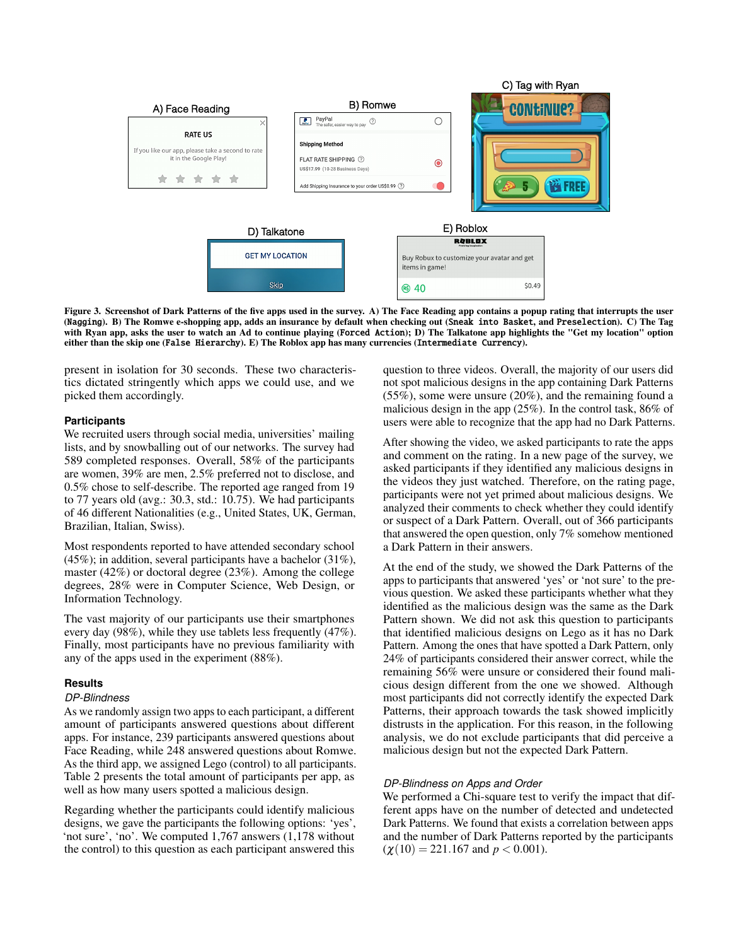

<span id="page-7-0"></span>Figure 3. Screenshot of Dark Patterns of the five apps used in the survey. A) The Face Reading app contains a popup rating that interrupts the user (Nagging). B) The Romwe e-shopping app, adds an insurance by default when checking out (Sneak into Basket, and Preselection). C) The Tag with Ryan app, asks the user to watch an Ad to continue playing (Forced Action); D) The Talkatone app highlights the "Get my location" option either than the skip one (False Hierarchy). E) The Roblox app has many currencies (Intermediate Currency).

present in isolation for 30 seconds. These two characteristics dictated stringently which apps we could use, and we picked them accordingly.

## **Participants**

We recruited users through social media, universities' mailing lists, and by snowballing out of our networks. The survey had 589 completed responses. Overall, 58% of the participants are women, 39% are men, 2.5% preferred not to disclose, and 0.5% chose to self-describe. The reported age ranged from 19 to 77 years old (avg.: 30.3, std.: 10.75). We had participants of 46 different Nationalities (e.g., United States, UK, German, Brazilian, Italian, Swiss).

Most respondents reported to have attended secondary school  $(45\%)$ ; in addition, several participants have a bachelor  $(31\%)$ , master (42%) or doctoral degree (23%). Among the college degrees, 28% were in Computer Science, Web Design, or Information Technology.

The vast majority of our participants use their smartphones every day (98%), while they use tablets less frequently (47%). Finally, most participants have no previous familiarity with any of the apps used in the experiment (88%).

#### **Results**

## *DP-Blindness*

As we randomly assign two apps to each participant, a different amount of participants answered questions about different apps. For instance, 239 participants answered questions about Face Reading, while 248 answered questions about Romwe. As the third app, we assigned Lego (control) to all participants. Table [2](#page-8-0) presents the total amount of participants per app, as well as how many users spotted a malicious design.

Regarding whether the participants could identify malicious designs, we gave the participants the following options: 'yes', 'not sure', 'no'. We computed 1,767 answers (1,178 without the control) to this question as each participant answered this

question to three videos. Overall, the majority of our users did not spot malicious designs in the app containing Dark Patterns (55%), some were unsure (20%), and the remaining found a malicious design in the app (25%). In the control task, 86% of users were able to recognize that the app had no Dark Patterns.

After showing the video, we asked participants to rate the apps and comment on the rating. In a new page of the survey, we asked participants if they identified any malicious designs in the videos they just watched. Therefore, on the rating page, participants were not yet primed about malicious designs. We analyzed their comments to check whether they could identify or suspect of a Dark Pattern. Overall, out of 366 participants that answered the open question, only 7% somehow mentioned a Dark Pattern in their answers.

At the end of the study, we showed the Dark Patterns of the apps to participants that answered 'yes' or 'not sure' to the previous question. We asked these participants whether what they identified as the malicious design was the same as the Dark Pattern shown. We did not ask this question to participants that identified malicious designs on Lego as it has no Dark Pattern. Among the ones that have spotted a Dark Pattern, only 24% of participants considered their answer correct, while the remaining 56% were unsure or considered their found malicious design different from the one we showed. Although most participants did not correctly identify the expected Dark Patterns, their approach towards the task showed implicitly distrusts in the application. For this reason, in the following analysis, we do not exclude participants that did perceive a malicious design but not the expected Dark Pattern.

#### *DP-Blindness on Apps and Order*

We performed a Chi-square test to verify the impact that different apps have on the number of detected and undetected Dark Patterns. We found that exists a correlation between apps and the number of Dark Patterns reported by the participants  $(\chi(10) = 221.167$  and  $p < 0.001$ ).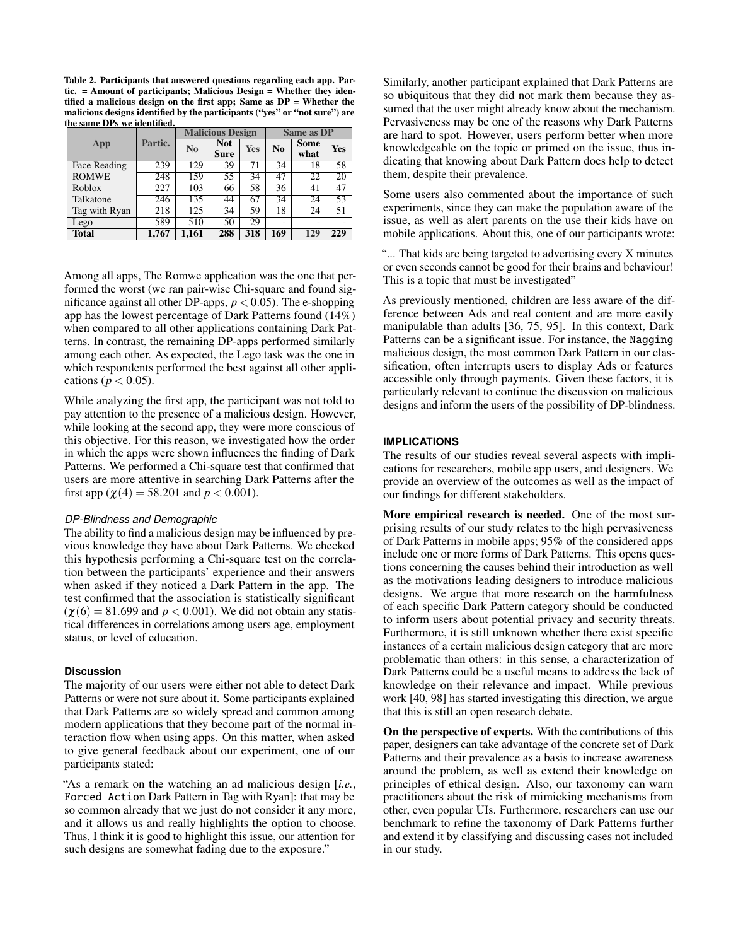<span id="page-8-0"></span>Table 2. Participants that answered questions regarding each app. Partic. = Amount of participants; Malicious Design = Whether they identified a malicious design on the first app; Same as  $DP = Whether$  the malicious designs identified by the participants ("yes" or "not sure") are the same DPs we identified.

| ше запести о петеции с<br>App | Partic. | <b>Malicious Design</b> |                           |     | Same as DP |                          |     |
|-------------------------------|---------|-------------------------|---------------------------|-----|------------|--------------------------|-----|
|                               |         | N <sub>0</sub>          | <b>Not</b><br><b>Sure</b> | Yes | No         | Some<br>what             | Yes |
| Face Reading                  | 239     | 129                     | 39                        | 71  | 34         | 18                       | 58  |
| <b>ROMWE</b>                  | 248     | 159                     | 55                        | 34  | 47         | 22                       | 20  |
| Roblox                        | 227     | 103                     | 66                        | 58  | 36         | 41                       | 47  |
| Talkatone                     | 246     | 135                     | 44                        | 67  | 34         | 24                       | 53  |
| Tag with Ryan                 | 218     | 125                     | 34                        | 59  | 18         | 24                       | 51  |
| Lego                          | 589     | 510                     | 50                        | 29  | ۰          | $\overline{\phantom{a}}$ |     |
| <b>Total</b>                  | 1,767   | 1,161                   | 288                       | 318 | 169        | 129                      | 229 |

Among all apps, The Romwe application was the one that performed the worst (we ran pair-wise Chi-square and found significance against all other DP-apps,  $p < 0.05$ ). The e-shopping app has the lowest percentage of Dark Patterns found (14%) when compared to all other applications containing Dark Patterns. In contrast, the remaining DP-apps performed similarly among each other. As expected, the Lego task was the one in which respondents performed the best against all other applications ( $p < 0.05$ ).

While analyzing the first app, the participant was not told to pay attention to the presence of a malicious design. However, while looking at the second app, they were more conscious of this objective. For this reason, we investigated how the order in which the apps were shown influences the finding of Dark Patterns. We performed a Chi-square test that confirmed that users are more attentive in searching Dark Patterns after the first app ( $\chi$ (4) = 58.201 and *p* < 0.001).

## *DP-Blindness and Demographic*

The ability to find a malicious design may be influenced by previous knowledge they have about Dark Patterns. We checked this hypothesis performing a Chi-square test on the correlation between the participants' experience and their answers when asked if they noticed a Dark Pattern in the app. The test confirmed that the association is statistically significant  $(\chi(6) = 81.699$  and  $p < 0.001$ ). We did not obtain any statistical differences in correlations among users age, employment status, or level of education.

#### **Discussion**

The majority of our users were either not able to detect Dark Patterns or were not sure about it. Some participants explained that Dark Patterns are so widely spread and common among modern applications that they become part of the normal interaction flow when using apps. On this matter, when asked to give general feedback about our experiment, one of our participants stated:

"As a remark on the watching an ad malicious design [*i.e.*, Forced Action Dark Pattern in Tag with Ryan]: that may be so common already that we just do not consider it any more, and it allows us and really highlights the option to choose. Thus, I think it is good to highlight this issue, our attention for such designs are somewhat fading due to the exposure."

Similarly, another participant explained that Dark Patterns are so ubiquitous that they did not mark them because they assumed that the user might already know about the mechanism. Pervasiveness may be one of the reasons why Dark Patterns are hard to spot. However, users perform better when more knowledgeable on the topic or primed on the issue, thus indicating that knowing about Dark Pattern does help to detect them, despite their prevalence.

Some users also commented about the importance of such experiments, since they can make the population aware of the issue, as well as alert parents on the use their kids have on mobile applications. About this, one of our participants wrote:

"... That kids are being targeted to advertising every X minutes or even seconds cannot be good for their brains and behaviour! This is a topic that must be investigated"

As previously mentioned, children are less aware of the difference between Ads and real content and are more easily manipulable than adults [\[36,](#page-10-13) [75,](#page-12-21) [95\]](#page-13-4). In this context, Dark Patterns can be a significant issue. For instance, the Nagging malicious design, the most common Dark Pattern in our classification, often interrupts users to display Ads or features accessible only through payments. Given these factors, it is particularly relevant to continue the discussion on malicious designs and inform the users of the possibility of DP-blindness.

#### **IMPLICATIONS**

The results of our studies reveal several aspects with implications for researchers, mobile app users, and designers. We provide an overview of the outcomes as well as the impact of our findings for different stakeholders.

More empirical research is needed. One of the most surprising results of our study relates to the high pervasiveness of Dark Patterns in mobile apps; 95% of the considered apps include one or more forms of Dark Patterns. This opens questions concerning the causes behind their introduction as well as the motivations leading designers to introduce malicious designs. We argue that more research on the harmfulness of each specific Dark Pattern category should be conducted to inform users about potential privacy and security threats. Furthermore, it is still unknown whether there exist specific instances of a certain malicious design category that are more problematic than others: in this sense, a characterization of Dark Patterns could be a useful means to address the lack of knowledge on their relevance and impact. While previous work [\[40,](#page-11-3) [98\]](#page-13-0) has started investigating this direction, we argue that this is still an open research debate.

On the perspective of experts. With the contributions of this paper, designers can take advantage of the concrete set of Dark Patterns and their prevalence as a basis to increase awareness around the problem, as well as extend their knowledge on principles of ethical design. Also, our taxonomy can warn practitioners about the risk of mimicking mechanisms from other, even popular UIs. Furthermore, researchers can use our benchmark to refine the taxonomy of Dark Patterns further and extend it by classifying and discussing cases not included in our study.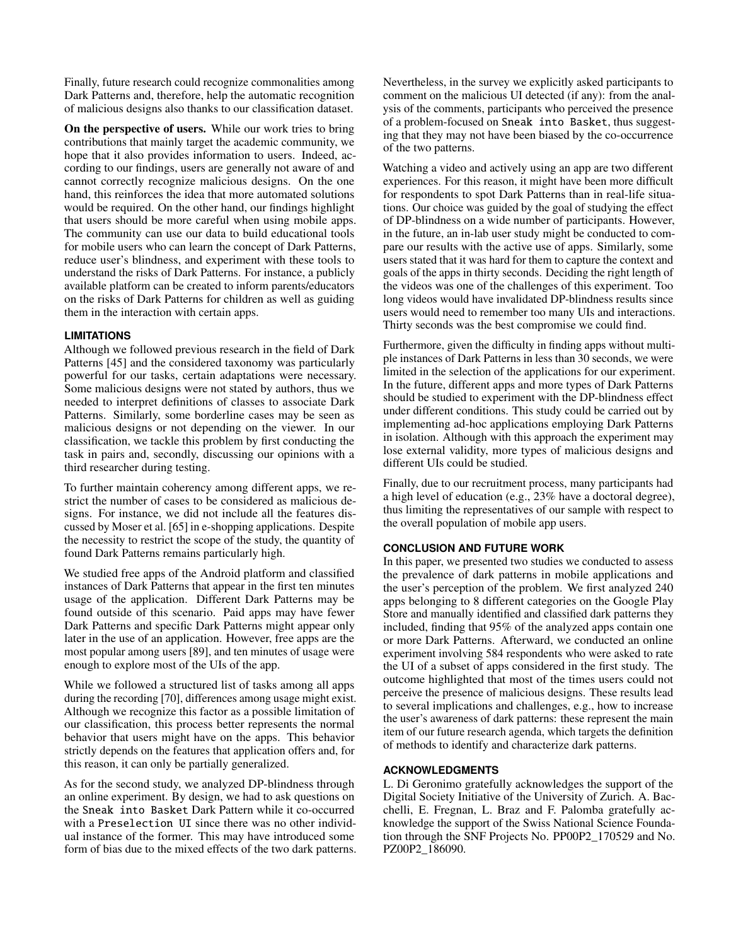Finally, future research could recognize commonalities among Dark Patterns and, therefore, help the automatic recognition of malicious designs also thanks to our classification dataset.

On the perspective of users. While our work tries to bring contributions that mainly target the academic community, we hope that it also provides information to users. Indeed, according to our findings, users are generally not aware of and cannot correctly recognize malicious designs. On the one hand, this reinforces the idea that more automated solutions would be required. On the other hand, our findings highlight that users should be more careful when using mobile apps. The community can use our data to build educational tools for mobile users who can learn the concept of Dark Patterns, reduce user's blindness, and experiment with these tools to understand the risks of Dark Patterns. For instance, a publicly available platform can be created to inform parents/educators on the risks of Dark Patterns for children as well as guiding them in the interaction with certain apps.

# **LIMITATIONS**

Although we followed previous research in the field of Dark Patterns [\[45\]](#page-11-6) and the considered taxonomy was particularly powerful for our tasks, certain adaptations were necessary. Some malicious designs were not stated by authors, thus we needed to interpret definitions of classes to associate Dark Patterns. Similarly, some borderline cases may be seen as malicious designs or not depending on the viewer. In our classification, we tackle this problem by first conducting the task in pairs and, secondly, discussing our opinions with a third researcher during testing.

To further maintain coherency among different apps, we restrict the number of cases to be considered as malicious designs. For instance, we did not include all the features discussed by Moser et al. [\[65\]](#page-11-4) in e-shopping applications. Despite the necessity to restrict the scope of the study, the quantity of found Dark Patterns remains particularly high.

We studied free apps of the Android platform and classified instances of Dark Patterns that appear in the first ten minutes usage of the application. Different Dark Patterns may be found outside of this scenario. Paid apps may have fewer Dark Patterns and specific Dark Patterns might appear only later in the use of an application. However, free apps are the most popular among users [\[89\]](#page-12-25), and ten minutes of usage were enough to explore most of the UIs of the app.

While we followed a structured list of tasks among all apps during the recording [\[70\]](#page-12-3), differences among usage might exist. Although we recognize this factor as a possible limitation of our classification, this process better represents the normal behavior that users might have on the apps. This behavior strictly depends on the features that application offers and, for this reason, it can only be partially generalized.

As for the second study, we analyzed DP-blindness through an online experiment. By design, we had to ask questions on the Sneak into Basket Dark Pattern while it co-occurred with a Preselection UI since there was no other individual instance of the former. This may have introduced some form of bias due to the mixed effects of the two dark patterns. Nevertheless, in the survey we explicitly asked participants to comment on the malicious UI detected (if any): from the analysis of the comments, participants who perceived the presence of a problem-focused on Sneak into Basket, thus suggesting that they may not have been biased by the co-occurrence of the two patterns.

Watching a video and actively using an app are two different experiences. For this reason, it might have been more difficult for respondents to spot Dark Patterns than in real-life situations. Our choice was guided by the goal of studying the effect of DP-blindness on a wide number of participants. However, in the future, an in-lab user study might be conducted to compare our results with the active use of apps. Similarly, some users stated that it was hard for them to capture the context and goals of the apps in thirty seconds. Deciding the right length of the videos was one of the challenges of this experiment. Too long videos would have invalidated DP-blindness results since users would need to remember too many UIs and interactions. Thirty seconds was the best compromise we could find.

Furthermore, given the difficulty in finding apps without multiple instances of Dark Patterns in less than 30 seconds, we were limited in the selection of the applications for our experiment. In the future, different apps and more types of Dark Patterns should be studied to experiment with the DP-blindness effect under different conditions. This study could be carried out by implementing ad-hoc applications employing Dark Patterns in isolation. Although with this approach the experiment may lose external validity, more types of malicious designs and different UIs could be studied.

Finally, due to our recruitment process, many participants had a high level of education (e.g., 23% have a doctoral degree), thus limiting the representatives of our sample with respect to the overall population of mobile app users.

# **CONCLUSION AND FUTURE WORK**

In this paper, we presented two studies we conducted to assess the prevalence of dark patterns in mobile applications and the user's perception of the problem. We first analyzed 240 apps belonging to 8 different categories on the Google Play Store and manually identified and classified dark patterns they included, finding that 95% of the analyzed apps contain one or more Dark Patterns. Afterward, we conducted an online experiment involving 584 respondents who were asked to rate the UI of a subset of apps considered in the first study. The outcome highlighted that most of the times users could not perceive the presence of malicious designs. These results lead to several implications and challenges, e.g., how to increase the user's awareness of dark patterns: these represent the main item of our future research agenda, which targets the definition of methods to identify and characterize dark patterns.

# **ACKNOWLEDGMENTS**

L. Di Geronimo gratefully acknowledges the support of the Digital Society Initiative of the University of Zurich. A. Bacchelli, E. Fregnan, L. Braz and F. Palomba gratefully acknowledge the support of the Swiss National Science Foundation through the SNF Projects No. PP00P2\_170529 and No. PZ00P2\_186090.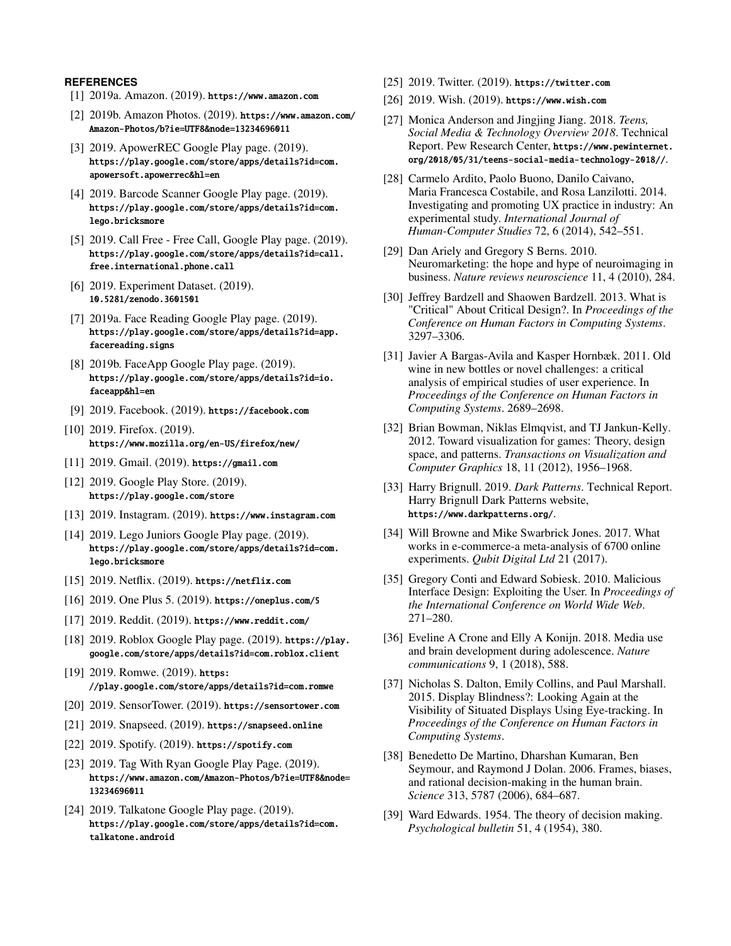### <span id="page-10-18"></span>**REFERENCES**

- [1] 2019a. Amazon. (2019). <https://www.amazon.com>
- <span id="page-10-33"></span>[2] 2019b. Amazon Photos. (2019). [https://www.amazon.com/](https://www.amazon.com/Amazon-Photos/b?ie=UTF8&node=13234696011) [Amazon-Photos/b?ie=UTF8&node=13234696011](https://www.amazon.com/Amazon-Photos/b?ie=UTF8&node=13234696011)
- <span id="page-10-24"></span>[3] 2019. ApowerREC Google Play page. (2019). [https://play.google.com/store/apps/details?id=com.](https://play.google.com/store/apps/details?id=com.apowersoft.apowerrec&hl=en) [apowersoft.apowerrec&hl=en](https://play.google.com/store/apps/details?id=com.apowersoft.apowerrec&hl=en)
- <span id="page-10-29"></span>[4] 2019. Barcode Scanner Google Play page. (2019). [https://play.google.com/store/apps/details?id=com.](https://play.google.com/store/apps/details?id=com.lego.bricksmore) [lego.bricksmore](https://play.google.com/store/apps/details?id=com.lego.bricksmore)
- <span id="page-10-25"></span>[5] 2019. Call Free - Free Call, Google Play page. (2019). [https://play.google.com/store/apps/details?id=call.](https://play.google.com/store/apps/details?id=call.free.international.phone.call) [free.international.phone.call](https://play.google.com/store/apps/details?id=call.free.international.phone.call)
- <span id="page-10-5"></span>[6] 2019. Experiment Dataset. (2019). <10.5281/zenodo.3601501>
- <span id="page-10-38"></span>[7] 2019a. Face Reading Google Play page. (2019). [https://play.google.com/store/apps/details?id=app.](https://play.google.com/store/apps/details?id=app.facereading.signs) [facereading.signs](https://play.google.com/store/apps/details?id=app.facereading.signs)
- <span id="page-10-15"></span>[8] 2019b. FaceApp Google Play page. (2019). [https://play.google.com/store/apps/details?id=io.](https://play.google.com/store/apps/details?id=io.faceapp&hl=en) [faceapp&hl=en](https://play.google.com/store/apps/details?id=io.faceapp&hl=en)
- <span id="page-10-17"></span>[9] 2019. Facebook. (2019). <https://facebook.com>
- <span id="page-10-30"></span>[10] 2019. Firefox. (2019). <https://www.mozilla.org/en-US/firefox/new/>
- <span id="page-10-23"></span>[11] 2019. Gmail. (2019). <https://gmail.com>
- <span id="page-10-4"></span>[12] 2019. Google Play Store. (2019). <https://play.google.com/store>
- <span id="page-10-32"></span>[13] 2019. Instagram. (2019). <https://www.instagram.com>
- <span id="page-10-28"></span>[14] 2019. Lego Juniors Google Play page. (2019). [https://play.google.com/store/apps/details?id=com.](https://play.google.com/store/apps/details?id=com.lego.bricksmore) [lego.bricksmore](https://play.google.com/store/apps/details?id=com.lego.bricksmore)
- <span id="page-10-20"></span>[15] 2019. Netflix. (2019). <https://netflix.com>
- <span id="page-10-22"></span>[16] 2019. One Plus 5. (2019). <https://oneplus.com/5>
- <span id="page-10-31"></span>[17] 2019. Reddit. (2019). <https://www.reddit.com/>
- <span id="page-10-35"></span>[18] 2019. Roblox Google Play page. (2019). [https://play.](https://play.google.com/store/apps/details?id=com.roblox.client) [google.com/store/apps/details?id=com.roblox.client](https://play.google.com/store/apps/details?id=com.roblox.client)
- <span id="page-10-36"></span>[19] 2019. Romwe. (2019). [https:](https://play.google.com/store/apps/details?id=com.romwe) [//play.google.com/store/apps/details?id=com.romwe](https://play.google.com/store/apps/details?id=com.romwe)
- <span id="page-10-16"></span>[20] 2019. SensorTower. (2019). <https://sensortower.com>
- <span id="page-10-27"></span>[21] 2019. Snapseed. (2019). <https://snapseed.online>
- <span id="page-10-21"></span>[22] 2019. Spotify. (2019). <https://spotify.com>
- <span id="page-10-34"></span>[23] 2019. Tag With Ryan Google Play Page. (2019). [https://www.amazon.com/Amazon-Photos/b?ie=UTF8&node=](https://www.amazon.com/Amazon-Photos/b?ie=UTF8&node=13234696011) [13234696011](https://www.amazon.com/Amazon-Photos/b?ie=UTF8&node=13234696011)
- <span id="page-10-37"></span>[24] 2019. Talkatone Google Play page. (2019). [https://play.google.com/store/apps/details?id=com.](https://play.google.com/store/apps/details?id=com.talkatone.android) [talkatone.android](https://play.google.com/store/apps/details?id=com.talkatone.android)
- <span id="page-10-19"></span>[25] 2019. Twitter. (2019). <https://twitter.com>
- <span id="page-10-26"></span>[26] 2019. Wish. (2019). <https://www.wish.com>
- <span id="page-10-12"></span>[27] Monica Anderson and Jingjing Jiang. 2018. *Teens, Social Media & Technology Overview 2018*. Technical Report. Pew Research Center, [https://www.pewinternet.](https://www.pewinternet.org/2018/05/31/teens-social-media-technology-2018//) [org/2018/05/31/teens-social-media-technology-2018//](https://www.pewinternet.org/2018/05/31/teens-social-media-technology-2018//).
- <span id="page-10-0"></span>[28] Carmelo Ardito, Paolo Buono, Danilo Caivano, Maria Francesca Costabile, and Rosa Lanzilotti. 2014. Investigating and promoting UX practice in industry: An experimental study. *International Journal of Human-Computer Studies* 72, 6 (2014), 542–551.
- <span id="page-10-6"></span>[29] Dan Ariely and Gregory S Berns. 2010. Neuromarketing: the hope and hype of neuroimaging in business. *Nature reviews neuroscience* 11, 4 (2010), 284.
- <span id="page-10-10"></span>[30] Jeffrey Bardzell and Shaowen Bardzell. 2013. What is "Critical" About Critical Design?. In *Proceedings of the Conference on Human Factors in Computing Systems*. 3297–3306.
- <span id="page-10-1"></span>[31] Javier A Bargas-Avila and Kasper Hornbæk. 2011. Old wine in new bottles or novel challenges: a critical analysis of empirical studies of user experience. In *Proceedings of the Conference on Human Factors in Computing Systems*. 2689–2698.
- <span id="page-10-11"></span>[32] Brian Bowman, Niklas Elmqvist, and TJ Jankun-Kelly. 2012. Toward visualization for games: Theory, design space, and patterns. *Transactions on Visualization and Computer Graphics* 18, 11 (2012), 1956–1968.
- <span id="page-10-2"></span>[33] Harry Brignull. 2019. *Dark Patterns*. Technical Report. Harry Brignull Dark Patterns website, <https://www.darkpatterns.org/>.
- <span id="page-10-9"></span>[34] Will Browne and Mike Swarbrick Jones. 2017. What works in e-commerce-a meta-analysis of 6700 online experiments. *Qubit Digital Ltd* 21 (2017).
- <span id="page-10-3"></span>[35] Gregory Conti and Edward Sobiesk. 2010. Malicious Interface Design: Exploiting the User. In *Proceedings of the International Conference on World Wide Web*. 271–280.
- <span id="page-10-13"></span>[36] Eveline A Crone and Elly A Konijn. 2018. Media use and brain development during adolescence. *Nature communications* 9, 1 (2018), 588.
- <span id="page-10-14"></span>[37] Nicholas S. Dalton, Emily Collins, and Paul Marshall. 2015. Display Blindness?: Looking Again at the Visibility of Situated Displays Using Eye-tracking. In *Proceedings of the Conference on Human Factors in Computing Systems*.
- <span id="page-10-7"></span>[38] Benedetto De Martino, Dharshan Kumaran, Ben Seymour, and Raymond J Dolan. 2006. Frames, biases, and rational decision-making in the human brain. *Science* 313, 5787 (2006), 684–687.
- <span id="page-10-8"></span>[39] Ward Edwards. 1954. The theory of decision making. *Psychological bulletin* 51, 4 (1954), 380.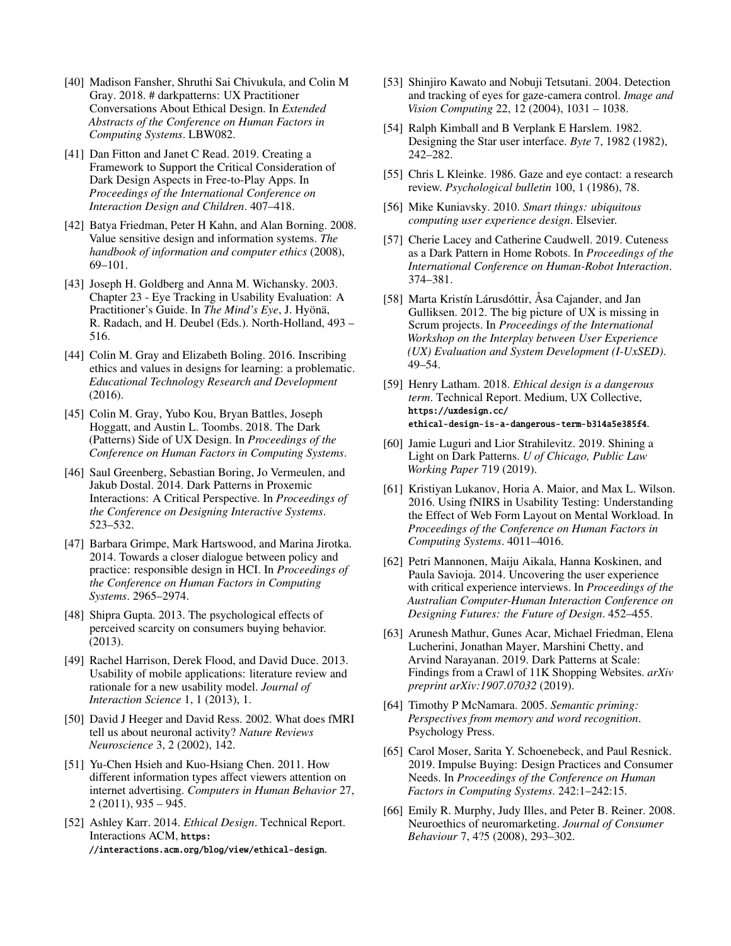- <span id="page-11-3"></span>[40] Madison Fansher, Shruthi Sai Chivukula, and Colin M Gray. 2018. # darkpatterns: UX Practitioner Conversations About Ethical Design. In *Extended Abstracts of the Conference on Human Factors in Computing Systems*. LBW082.
- <span id="page-11-23"></span>[41] Dan Fitton and Janet C Read. 2019. Creating a Framework to Support the Critical Consideration of Dark Design Aspects in Free-to-Play Apps. In *Proceedings of the International Conference on Interaction Design and Children*. 407–418.
- <span id="page-11-12"></span>[42] Batya Friedman, Peter H Kahn, and Alan Borning. 2008. Value sensitive design and information systems. *The handbook of information and computer ethics* (2008), 69–101.
- <span id="page-11-21"></span>[43] Joseph H. Goldberg and Anna M. Wichansky. 2003. Chapter 23 - Eye Tracking in Usability Evaluation: A Practitioner's Guide. In *The Mind's Eye*, J. Hyönä, R. Radach, and H. Deubel (Eds.). North-Holland, 493 – 516.
- <span id="page-11-25"></span>[44] Colin M. Gray and Elizabeth Boling. 2016. Inscribing ethics and values in designs for learning: a problematic. *Educational Technology Research and Development* (2016).
- <span id="page-11-6"></span>[45] Colin M. Gray, Yubo Kou, Bryan Battles, Joseph Hoggatt, and Austin L. Toombs. 2018. The Dark (Patterns) Side of UX Design. In *Proceedings of the Conference on Human Factors in Computing Systems*.
- <span id="page-11-14"></span>[46] Saul Greenberg, Sebastian Boring, Jo Vermeulen, and Jakub Dostal. 2014. Dark Patterns in Proxemic Interactions: A Critical Perspective. In *Proceedings of the Conference on Designing Interactive Systems*. 523–532.
- <span id="page-11-13"></span>[47] Barbara Grimpe, Mark Hartswood, and Marina Jirotka. 2014. Towards a closer dialogue between policy and practice: responsible design in HCI. In *Proceedings of the Conference on Human Factors in Computing Systems*. 2965–2974.
- <span id="page-11-20"></span>[48] Shipra Gupta. 2013. The psychological effects of perceived scarcity on consumers buying behavior. (2013).
- <span id="page-11-9"></span>[49] Rachel Harrison, Derek Flood, and David Duce. 2013. Usability of mobile applications: literature review and rationale for a new usability model. *Journal of Interaction Science* 1, 1 (2013), 1.
- <span id="page-11-17"></span>[50] David J Heeger and David Ress. 2002. What does fMRI tell us about neuronal activity? *Nature Reviews Neuroscience* 3, 2 (2002), 142.
- <span id="page-11-24"></span>[51] Yu-Chen Hsieh and Kuo-Hsiang Chen. 2011. How different information types affect viewers attention on internet advertising. *Computers in Human Behavior* 27, 2 (2011), 935 – 945.
- <span id="page-11-10"></span>[52] Ashley Karr. 2014. *Ethical Design*. Technical Report. Interactions ACM, [https:](https://interactions.acm.org/blog/view/ethical-design) [//interactions.acm.org/blog/view/ethical-design](https://interactions.acm.org/blog/view/ethical-design).
- <span id="page-11-18"></span>[53] Shinjiro Kawato and Nobuji Tetsutani. 2004. Detection and tracking of eyes for gaze-camera control. *Image and Vision Computing* 22, 12 (2004), 1031 – 1038.
- <span id="page-11-8"></span>[54] Ralph Kimball and B Verplank E Harslem. 1982. Designing the Star user interface. *Byte* 7, 1982 (1982), 242–282.
- <span id="page-11-19"></span>[55] Chris L Kleinke. 1986. Gaze and eye contact: a research review. *Psychological bulletin* 100, 1 (1986), 78.
- <span id="page-11-1"></span>[56] Mike Kuniavsky. 2010. *Smart things: ubiquitous computing user experience design*. Elsevier.
- <span id="page-11-15"></span>[57] Cherie Lacey and Catherine Caudwell. 2019. Cuteness as a Dark Pattern in Home Robots. In *Proceedings of the International Conference on Human-Robot Interaction*. 374–381.
- <span id="page-11-2"></span>[58] Marta Kristín Lárusdóttir, Åsa Cajander, and Jan Gulliksen. 2012. The big picture of UX is missing in Scrum projects. In *Proceedings of the International Workshop on the Interplay between User Experience (UX) Evaluation and System Development (I-UxSED)*. 49–54.
- <span id="page-11-11"></span>[59] Henry Latham. 2018. *Ethical design is a dangerous term*. Technical Report. Medium, UX Collective, [https://uxdesign.cc/](https://uxdesign.cc/ethical-design-is-a-dangerous-term-b314a5e385f4) [ethical-design-is-a-dangerous-term-b314a5e385f4](https://uxdesign.cc/ethical-design-is-a-dangerous-term-b314a5e385f4).
- <span id="page-11-7"></span>[60] Jamie Luguri and Lior Strahilevitz. 2019. Shining a Light on Dark Patterns. *U of Chicago, Public Law Working Paper* 719 (2019).
- <span id="page-11-22"></span>[61] Kristiyan Lukanov, Horia A. Maior, and Max L. Wilson. 2016. Using fNIRS in Usability Testing: Understanding the Effect of Web Form Layout on Mental Workload. In *Proceedings of the Conference on Human Factors in Computing Systems*. 4011–4016.
- <span id="page-11-0"></span>[62] Petri Mannonen, Maiju Aikala, Hanna Koskinen, and Paula Savioja. 2014. Uncovering the user experience with critical experience interviews. In *Proceedings of the Australian Computer-Human Interaction Conference on Designing Futures: the Future of Design*. 452–455.
- <span id="page-11-5"></span>[63] Arunesh Mathur, Gunes Acar, Michael Friedman, Elena Lucherini, Jonathan Mayer, Marshini Chetty, and Arvind Narayanan. 2019. Dark Patterns at Scale: Findings from a Crawl of 11K Shopping Websites. *arXiv preprint arXiv:1907.07032* (2019).
- <span id="page-11-26"></span>[64] Timothy P McNamara. 2005. *Semantic priming: Perspectives from memory and word recognition*. Psychology Press.
- <span id="page-11-4"></span>[65] Carol Moser, Sarita Y. Schoenebeck, and Paul Resnick. 2019. Impulse Buying: Design Practices and Consumer Needs. In *Proceedings of the Conference on Human Factors in Computing Systems*. 242:1–242:15.
- <span id="page-11-16"></span>[66] Emily R. Murphy, Judy Illes, and Peter B. Reiner. 2008. Neuroethics of neuromarketing. *Journal of Consumer Behaviour* 7, 4?5 (2008), 293–302.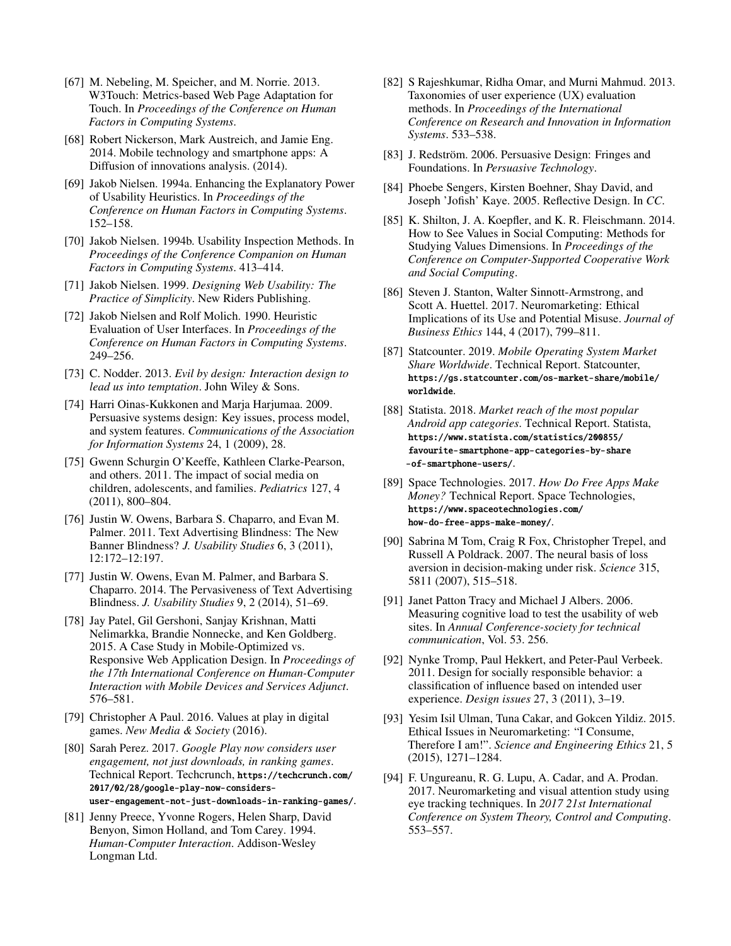- <span id="page-12-8"></span>[67] M. Nebeling, M. Speicher, and M. Norrie. 2013. W3Touch: Metrics-based Web Page Adaptation for Touch. In *Proceedings of the Conference on Human Factors in Computing Systems*.
- <span id="page-12-2"></span>[68] Robert Nickerson, Mark Austreich, and Jamie Eng. 2014. Mobile technology and smartphone apps: A Diffusion of innovations analysis. (2014).
- <span id="page-12-7"></span>[69] Jakob Nielsen. 1994a. Enhancing the Explanatory Power of Usability Heuristics. In *Proceedings of the Conference on Human Factors in Computing Systems*. 152–158.
- <span id="page-12-3"></span>[70] Jakob Nielsen. 1994b. Usability Inspection Methods. In *Proceedings of the Conference Companion on Human Factors in Computing Systems*. 413–414.
- <span id="page-12-4"></span>[71] Jakob Nielsen. 1999. *Designing Web Usability: The Practice of Simplicity*. New Riders Publishing.
- <span id="page-12-5"></span>[72] Jakob Nielsen and Rolf Molich. 1990. Heuristic Evaluation of User Interfaces. In *Proceedings of the Conference on Human Factors in Computing Systems*. 249–256.
- <span id="page-12-10"></span>[73] C. Nodder. 2013. *Evil by design: Interaction design to lead us into temptation*. John Wiley & Sons.
- <span id="page-12-11"></span>[74] Harri Oinas-Kukkonen and Marja Harjumaa. 2009. Persuasive systems design: Key issues, process model, and system features. *Communications of the Association for Information Systems* 24, 1 (2009), 28.
- <span id="page-12-21"></span>[75] Gwenn Schurgin O'Keeffe, Kathleen Clarke-Pearson, and others. 2011. The impact of social media on children, adolescents, and families. *Pediatrics* 127, 4 (2011), 800–804.
- <span id="page-12-22"></span>[76] Justin W. Owens, Barbara S. Chaparro, and Evan M. Palmer. 2011. Text Advertising Blindness: The New Banner Blindness? *J. Usability Studies* 6, 3 (2011), 12:172–12:197.
- <span id="page-12-23"></span>[77] Justin W. Owens, Evan M. Palmer, and Barbara S. Chaparro. 2014. The Pervasiveness of Text Advertising Blindness. *J. Usability Studies* 9, 2 (2014), 51–69.
- <span id="page-12-9"></span>[78] Jay Patel, Gil Gershoni, Sanjay Krishnan, Matti Nelimarkka, Brandie Nonnecke, and Ken Goldberg. 2015. A Case Study in Mobile-Optimized vs. Responsive Web Application Design. In *Proceedings of the 17th International Conference on Human-Computer Interaction with Mobile Devices and Services Adjunct*. 576–581.
- <span id="page-12-13"></span>[79] Christopher A Paul. 2016. Values at play in digital games. *New Media & Society* (2016).
- <span id="page-12-26"></span>[80] Sarah Perez. 2017. *Google Play now considers user engagement, not just downloads, in ranking games*. Technical Report. Techcrunch, [https://techcrunch.com/](https://techcrunch.com/2017/02/28/google-play-now-considers-) [2017/02/28/google-play-now-considers](https://techcrunch.com/2017/02/28/google-play-now-considers-)<user-engagement-not-just-downloads-in-ranking-games/>.
- <span id="page-12-6"></span>[81] Jenny Preece, Yvonne Rogers, Helen Sharp, David Benyon, Simon Holland, and Tom Carey. 1994. *Human-Computer Interaction*. Addison-Wesley Longman Ltd.
- <span id="page-12-0"></span>[82] S Rajeshkumar, Ridha Omar, and Murni Mahmud. 2013. Taxonomies of user experience (UX) evaluation methods. In *Proceedings of the International Conference on Research and Innovation in Information Systems*. 533–538.
- <span id="page-12-12"></span>[83] J. Redström. 2006. Persuasive Design: Fringes and Foundations. In *Persuasive Technology*.
- <span id="page-12-14"></span>[84] Phoebe Sengers, Kirsten Boehner, Shay David, and Joseph 'Jofish' Kaye. 2005. Reflective Design. In *CC*.
- <span id="page-12-15"></span>[85] K. Shilton, J. A. Koepfler, and K. R. Fleischmann. 2014. How to See Values in Social Computing: Methods for Studying Values Dimensions. In *Proceedings of the Conference on Computer-Supported Cooperative Work and Social Computing*.
- <span id="page-12-16"></span>[86] Steven J. Stanton, Walter Sinnott-Armstrong, and Scott A. Huettel. 2017. Neuromarketing: Ethical Implications of its Use and Potential Misuse. *Journal of Business Ethics* 144, 4 (2017), 799–811.
- <span id="page-12-24"></span>[87] Statcounter. 2019. *Mobile Operating System Market Share Worldwide*. Technical Report. Statcounter, [https://gs.statcounter.com/os-market-share/mobile/](https://gs.statcounter.com/os-market-share/mobile/worldwide) [worldwide](https://gs.statcounter.com/os-market-share/mobile/worldwide).
- <span id="page-12-27"></span>[88] Statista. 2018. *Market reach of the most popular Android app categories*. Technical Report. Statista, [https://www.statista.com/statistics/200855/](https://www.statista.com/statistics/200855/favourite-smartphone-app-categories-by-share) [favourite-smartphone-app-categories-by-share](https://www.statista.com/statistics/200855/favourite-smartphone-app-categories-by-share) <-of-smartphone-users/>.
- <span id="page-12-25"></span>[89] Space Technologies. 2017. *How Do Free Apps Make Money?* Technical Report. Space Technologies, [https://www.spaceotechnologies.com/](https://www.spaceotechnologies.com/how-do-free-apps-make-money/) [how-do-free-apps-make-money/](https://www.spaceotechnologies.com/how-do-free-apps-make-money/).
- <span id="page-12-19"></span>[90] Sabrina M Tom, Craig R Fox, Christopher Trepel, and Russell A Poldrack. 2007. The neural basis of loss aversion in decision-making under risk. *Science* 315, 5811 (2007), 515–518.
- <span id="page-12-20"></span>[91] Janet Patton Tracy and Michael J Albers. 2006. Measuring cognitive load to test the usability of web sites. In *Annual Conference-society for technical communication*, Vol. 53. 256.
- <span id="page-12-1"></span>[92] Nynke Tromp, Paul Hekkert, and Peter-Paul Verbeek. 2011. Design for socially responsible behavior: a classification of influence based on intended user experience. *Design issues* 27, 3 (2011), 3–19.
- <span id="page-12-17"></span>[93] Yesim Isil Ulman, Tuna Cakar, and Gokcen Yildiz. 2015. Ethical Issues in Neuromarketing: "I Consume, Therefore I am!". *Science and Engineering Ethics* 21, 5 (2015), 1271–1284.
- <span id="page-12-18"></span>[94] F. Ungureanu, R. G. Lupu, A. Cadar, and A. Prodan. 2017. Neuromarketing and visual attention study using eye tracking techniques. In *2017 21st International Conference on System Theory, Control and Computing*. 553–557.